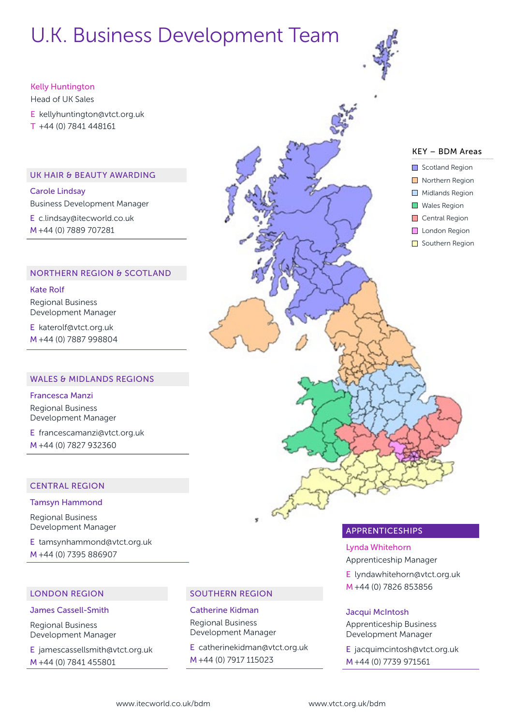# U.K. Business Development Team

#### Kelly Huntington

Head of UK Sales E [kellyhuntington@vtct.org.uk](mailto:kellyhuntington@vtct.org.uk) T +44 (0) 7841 448161

#### UK HAIR & BEAUTY AWARDING

Carole Lindsay Business Development Manager

E c.lindsay@itecworld.co.uk M +44 (0) 7889 707281

#### NORTHERN REGION & SCOTLAND

Kate Rolf Regional Business Development Manager

E katerolf[@vtct.org.uk](mailto:kellyhuntington@vtct.org.uk) M +44 (0) 7887 998804

#### WALES & MIDLANDS REGIONS

### Francesca Manzi

Regional Business Development Manager

E francescamanzi[@vtct.org.uk](mailto:kellyhuntington@vtct.org.uk) M +44 (0) 7827 932360

#### CENTRAL REGION

#### Tamsyn Hammond

Regional Business Development Manager

E tamsynhammond[@vtct.org.uk](mailto:kellyhuntington@vtct.org.uk) M +44 (0) 7395 886907

#### LONDON REGION

#### James Cassell-Smith

Regional Business Development Manager

E jamescassellsmith@vtct.org.uk M +44 (0) 7841 455801

#### SOUTHERN REGION

Catherine Kidman Regional Business Development Manager

E catherinekidman[@vtct.org.uk](mailto:kellyhuntington@vtct.org.uk) M +44 (0) 7917 115023



#### APPRENTICESHIPS

Lynda Whitehorn Apprenticeship Manager

E lyndawhitehorn[@vtct.org.uk](mailto:kellyhuntington@vtct.org.uk) M +44 (0) 7826 853856

#### Jacqui McIntosh

Apprenticeship Business Development Manager

E jacquimcintosh@vtct.org.uk M +44 (0) 7739 971561